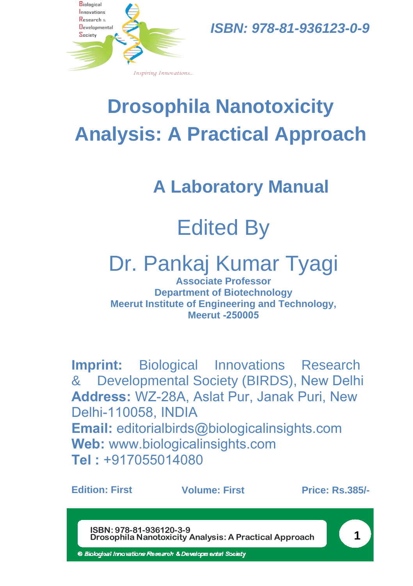

*ISBN: 978-81-936123-0-9* 

# **Drosophila Nanotoxicity Analysis: A Practical Approach**

**A Laboratory Manual**

# Edited By

# Dr. Pankaj Kumar Tyagi

**Associate Professor Department of Biotechnology Meerut Institute of Engineering and Technology, Meerut -250005**

**Imprint:** Biological Innovations Research & Developmental Society (BIRDS), New Delhi **Address:** WZ-28A, Aslat Pur, Janak Puri, New Delhi-110058, INDIA **Email:** editorialbirds@biologicalinsights.com **Web:** www.biologicalinsights.com **Tel :** +917055014080

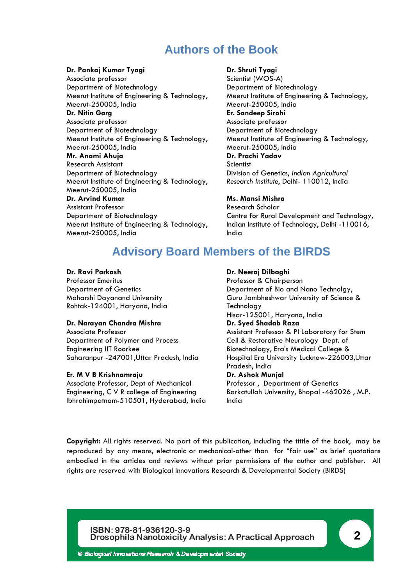## **Authors of the Book**

#### **Dr. Pankaj Kumar Tyagi**

Associate professor Department of Biotechnology Meerut Institute of Engineering & Technology, Meerut-250005, India **Dr. Nitin Garg** Associate professor Department of Biotechnology Meerut Institute of Engineering & Technology, Meerut-250005, India **Mr. Anami Ahuja** Research Assistant Department of Biotechnology Meerut Institute of Engineering & Technology, Meerut-250005, India **Dr. Arvind Kumar** Assistant Professor Department of Biotechnology Meerut Institute of Engineering & Technology, Meerut-250005, India

#### **Dr. Shruti Tyagi**

Scientist (WOS-A) Department of Biotechnology Meerut Institute of Engineering & Technology, Meerut-250005, India **Er. Sandeep Sirohi** Associate professor Department of Biotechnology Meerut Institute of Engineering & Technology, Meerut-250005, India **Dr. Prachi Yadav** Scientist Division of Genetics, *Indian Agricultural Research Institute*, Delhi- 110012, India

#### **Ms. Mansi Mishra**

Research Scholar Centre for Rural Development and Technology, Indian Institute of Technology, Delhi -110016, India

## **Advisory Board Members of the BIRDS**

#### **Dr. Ravi Parkash**

Professor Emeritus Department of Genetics Maharshi Dayanand University Rohtak-124001, Haryana, India

#### **Dr. Narayan Chandra Mishra**

Associate Professor Department of Polymer and Process Engineering IIT Roorkee Saharanpur -247001,Uttar Pradesh, India

#### **Er. M V B Krishnamraju**

Associate Professor, Dept of Mechanical Engineering, C V R college of Engineering Ibhrahimpatnam-510501, Hyderabad, India

#### **Dr. Neeraj Dilbaghi**

Professor & Chairperson Department of Bio and Nano Technolgy, Guru Jambheshwar University of Science & Technology Hisar-125001, Haryana, India **Dr. Syed Shadab Raza** Assistant Professor & PI Laboratory for Stem Cell & Restorative Neurology Dept. of Biotechnology, Era's Medical College & Hospital Era University Lucknow-226003,Uttar Pradesh, India **Dr. Ashok Munjal** Professor , Department of Genetics

Barkatullah University, Bhopal -462026 , M.P. India

**Copyright:** All rights reserved. No part of this publication, including the tittle of the book, may be reproduced by any means, electronic or mechanical-other than for "fair use" as brief quotations embodied in the articles and reviews without prior permissions of the author and publisher. All rights are reserved with Biological Innovations Research & Developmental Society (BIRDS)

#### **ISBN: 978-81-936120-3-9 Drosophila Nanotoxicity Analysis: A Practical Approach 2**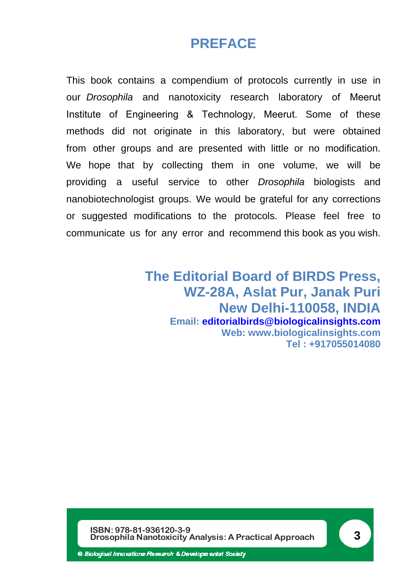## **PREFACE**

This book contains a compendium of protocols currently in use in our *Drosophila* and nanotoxicity research laboratory of Meerut Institute of Engineering & Technology, Meerut. Some of these methods did not originate in this laboratory, but were obtained from other groups and are presented with little or no modification. We hope that by collecting them in one volume, we will be providing a useful service to other *Drosophila* biologists and nanobiotechnologist groups. We would be grateful for any corrections or suggested modifications to the protocols. Please feel free to communicate us for any error and recommend this book as you wish.

> **The Editorial Board of BIRDS Press, WZ-28A, Aslat Pur, Janak Puri New Delhi-110058, INDIA Email: [editorialbirds@biologicalinsights.com](mailto:editorialbirds@biologicalinsights.com) Web: www.biologicalinsights.com Tel : +917055014080**

**ISBN: 978-81-936120-3-9 Drosophila Nanotoxicity Analysis: A Practical Approach 3**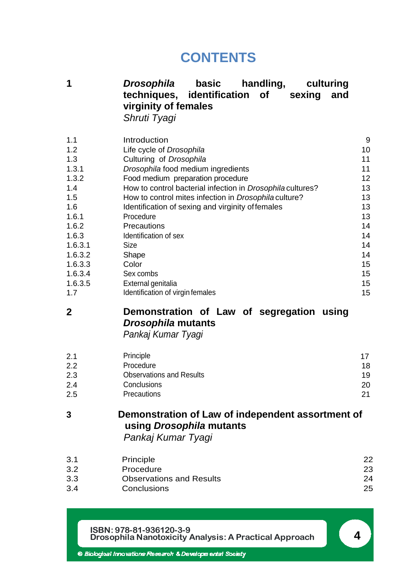## **CONTENTS**

**1** *Drosophila* **basic handling, culturing techniques, identification of sexing and virginity of females** *Shruti Tyagi*

| 1.1     | Introduction                                                      | 9  |
|---------|-------------------------------------------------------------------|----|
| 1.2     | Life cycle of Drosophila                                          | 10 |
| 1.3     | Culturing of Drosophila                                           | 11 |
| 1.3.1   | Drosophila food medium ingredients                                | 11 |
| 1.3.2   | Food medium preparation procedure                                 | 12 |
| 1.4     | How to control bacterial infection in <i>Drosophila</i> cultures? | 13 |
| 1.5     | How to control mites infection in <i>Drosophila</i> culture?      | 13 |
| 1.6     | Identification of sexing and virginity of females                 | 13 |
| 1.6.1   | Procedure                                                         | 13 |
| 1.6.2   | Precautions                                                       | 14 |
| 1.6.3   | Identification of sex                                             | 14 |
| 1.6.3.1 | Size                                                              | 14 |
| 1.6.3.2 | Shape                                                             | 14 |
| 1.6.3.3 | Color                                                             | 15 |
| 1.6.3.4 | Sex combs                                                         | 15 |
| 1.6.3.5 | External genitalia                                                | 15 |
| 1.7     | Identification of virgin females                                  | 15 |
|         |                                                                   |    |

## **2 Demonstration of Law of segregation using**  *Drosophila* **mutants**

*Pankaj Kumar Tyagi*

| 2.1 | Principle                       | 17 |
|-----|---------------------------------|----|
| 2.2 | Procedure                       | 18 |
| 2.3 | <b>Observations and Results</b> | 19 |
| 2.4 | Conclusions                     | 20 |
| 2.5 | <b>Precautions</b>              | 21 |

### **3 Demonstration of Law of independent assortment of using** *Drosophila* **mutants** *Pankaj Kumar Tyagi*

| 3.1 | Principle                       | 22 |
|-----|---------------------------------|----|
| 3.2 | Procedure                       | 23 |
| 3.3 | <b>Observations and Results</b> | 24 |
| 3.4 | Conclusions                     | 25 |
|     |                                 |    |

**ISBN: 978-81-936120-3-9 Drosophila Nanotoxicity Analysis: A Practical Approach 4**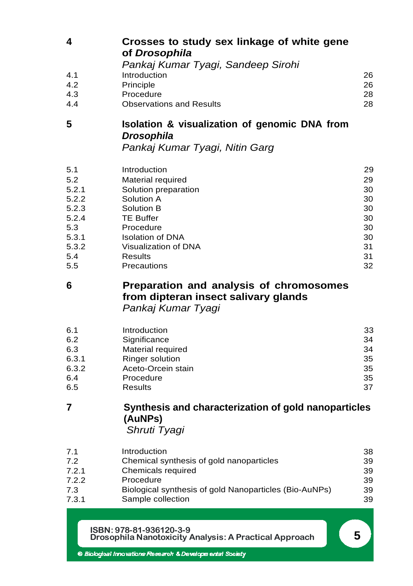| Crosses to study sex linkage of white gene<br>of Drosophila |    |
|-------------------------------------------------------------|----|
| Pankaj Kumar Tyagi, Sandeep Sirohi                          |    |
| Introduction                                                | 26 |
| Principle                                                   | 26 |
| Procedure                                                   | 28 |
| <b>Observations and Results</b>                             | 28 |
|                                                             |    |

## **5 Isolation & visualization of genomic DNA from**  *Drosophila*

*Pankaj Kumar Tyagi, Nitin Garg*

| Introduction            | 29 |
|-------------------------|----|
| Material required       | 29 |
| Solution preparation    | 30 |
| Solution A              | 30 |
| Solution B              | 30 |
| <b>TE Buffer</b>        | 30 |
| Procedure               | 30 |
| <b>Isolation of DNA</b> | 30 |
| Visualization of DNA    | 31 |
| Results                 | 31 |
| Precautions             | 32 |
|                         |    |

### **6 Preparation and analysis of chromosomes from dipteran insect salivary glands**  *Pankaj Kumar Tyagi*

| 6.1   | Introduction           | 33 |
|-------|------------------------|----|
| 6.2   | Significance           | 34 |
| 6.3   | Material required      | 34 |
| 6.3.1 | <b>Ringer solution</b> | 35 |
| 6.3.2 | Aceto-Orcein stain     | 35 |
| 6.4   | Procedure              | 35 |
| 6.5   | <b>Results</b>         | 37 |

## **7 Synthesis and characterization of gold nanoparticles (AuNPs)**

*Shruti Tyagi*

| 7.1   | Introduction                                           | 38 |
|-------|--------------------------------------------------------|----|
| 7.2   | Chemical synthesis of gold nanoparticles               | 39 |
| 7.2.1 | Chemicals required                                     | 39 |
| 7.2.2 | Procedure                                              | 39 |
| 7.3   | Biological synthesis of gold Nanoparticles (Bio-AuNPs) | 39 |
| 7.3.1 | Sample collection                                      | 39 |

**ISBN: 978-81-936120-3-9 Drosophila Nanotoxicity Analysis: A Practical Approach 5**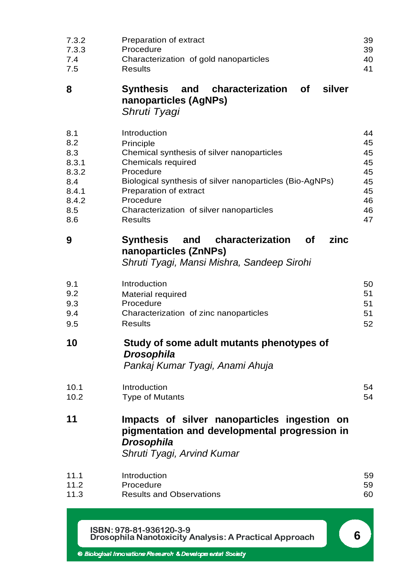| 7.3.2 | Preparation of extract                                                                                                                           | 39 |
|-------|--------------------------------------------------------------------------------------------------------------------------------------------------|----|
| 7.3.3 | Procedure                                                                                                                                        | 39 |
| 7.4   | Characterization of gold nanoparticles                                                                                                           | 40 |
| 7.5   | <b>Results</b>                                                                                                                                   | 41 |
| 8     | <b>Synthesis</b><br>characterization of<br>silver<br>and<br>nanoparticles (AgNPs)<br>Shruti Tyagi                                                |    |
| 8.1   | Introduction                                                                                                                                     | 44 |
| 8.2   | Principle                                                                                                                                        | 45 |
| 8.3   | Chemical synthesis of silver nanoparticles                                                                                                       | 45 |
| 8.3.1 | Chemicals required                                                                                                                               | 45 |
| 8.3.2 | Procedure                                                                                                                                        | 45 |
| 8.4   | Biological synthesis of silver nanoparticles (Bio-AgNPs)                                                                                         | 45 |
| 8.4.1 | Preparation of extract                                                                                                                           | 45 |
| 8.4.2 | Procedure                                                                                                                                        | 46 |
| 8.5   | Characterization of silver nanoparticles                                                                                                         | 46 |
| 8.6   | <b>Results</b>                                                                                                                                   | 47 |
| 9     | characterization<br>zinc<br>Synthesis<br>and<br>οf<br>nanoparticles (ZnNPs)<br>Shruti Tyagi, Mansi Mishra, Sandeep Sirohi                        |    |
| 9.1   | Introduction                                                                                                                                     | 50 |
| 9.2   | Material required                                                                                                                                | 51 |
| 9.3   | Procedure                                                                                                                                        | 51 |
| 9.4   | Characterization of zinc nanoparticles                                                                                                           | 51 |
| 9.5   | <b>Results</b>                                                                                                                                   | 52 |
| 10    | Study of some adult mutants phenotypes of<br><b>Drosophila</b><br>Pankaj Kumar Tyagi, Anami Ahuja                                                |    |
| 10.1  | Introduction                                                                                                                                     | 54 |
| 10.2  | <b>Type of Mutants</b>                                                                                                                           | 54 |
| 11    | Impacts of silver nanoparticles ingestion on<br>pigmentation and developmental progression in<br><b>Drosophila</b><br>Shruti Tyagi, Arvind Kumar |    |
| 11.1  | Introduction                                                                                                                                     | 59 |
| 11.2  | Procedure                                                                                                                                        | 59 |
| 11.3  | <b>Results and Observations</b>                                                                                                                  | 60 |
|       | ISBN: 978-81-936120-3-9<br>Drosophila Nanotoxicity Analysis: A Practical Approach                                                                | 6  |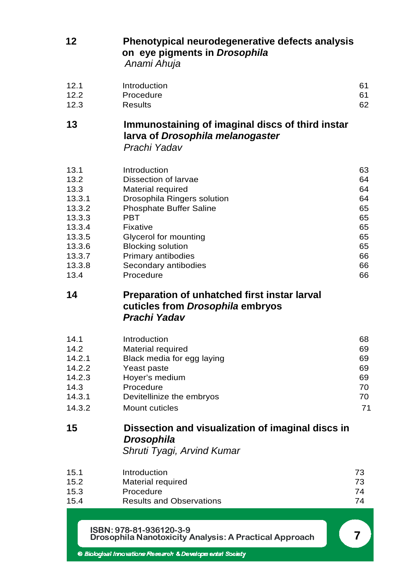| 12                                                                                                           | Phenotypical neurodegenerative defects analysis<br>on eye pigments in Drosophila<br>Anami Ahuja                                                                                                                                                               |                                                                      |
|--------------------------------------------------------------------------------------------------------------|---------------------------------------------------------------------------------------------------------------------------------------------------------------------------------------------------------------------------------------------------------------|----------------------------------------------------------------------|
| 12.1<br>12.2<br>12.3                                                                                         | Introduction<br>Procedure<br><b>Results</b>                                                                                                                                                                                                                   | 61<br>61<br>62                                                       |
| 13                                                                                                           | Immunostaining of imaginal discs of third instar<br>larva of Drosophila melanogaster<br>Prachi Yadav                                                                                                                                                          |                                                                      |
| 13.1<br>13.2<br>13.3<br>13.3.1<br>13.3.2<br>13.3.3<br>13.3.4<br>13.3.5<br>13.3.6<br>13.3.7<br>13.3.8<br>13.4 | Introduction<br>Dissection of larvae<br>Material required<br>Drosophila Ringers solution<br><b>Phosphate Buffer Saline</b><br>PBT<br>Fixative<br>Glycerol for mounting<br><b>Blocking solution</b><br>Primary antibodies<br>Secondary antibodies<br>Procedure | 63<br>64<br>64<br>64<br>65<br>65<br>65<br>65<br>65<br>66<br>66<br>66 |
| 14                                                                                                           | Preparation of unhatched first instar larval                                                                                                                                                                                                                  |                                                                      |
|                                                                                                              | cuticles from Drosophila embryos<br>Prachi Yadav                                                                                                                                                                                                              |                                                                      |
| 14.1<br>14.2<br>14.2.1<br>14.2.2<br>14.2.3<br>14.3<br>14.3.1<br>14.3.2                                       | Introduction<br>Material required<br>Black media for egg laying<br>Yeast paste<br>Hoyer's medium<br>Procedure<br>Devitellinize the embryos<br>Mount cuticles                                                                                                  | 68<br>69<br>69<br>69<br>69<br>70<br>70<br>71                         |
| 15                                                                                                           | Dissection and visualization of imaginal discs in<br><b>Drosophila</b><br>Shruti Tyagi, Arvind Kumar                                                                                                                                                          |                                                                      |
| 15.1<br>15.2<br>15.3<br>15.4                                                                                 | Introduction<br>Material required<br>Procedure<br><b>Results and Observations</b>                                                                                                                                                                             | 73<br>73<br>74<br>74                                                 |